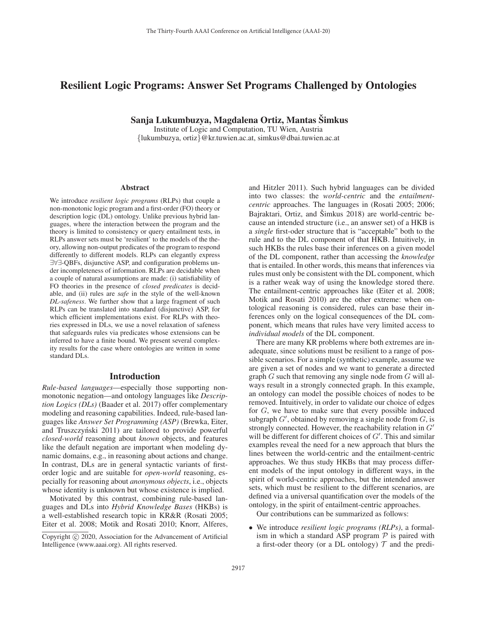# Resilient Logic Programs: Answer Set Programs Challenged by Ontologies

Sanja Lukumbuzya, Magdalena Ortiz, Mantas Šimkus

Institute of Logic and Computation, TU Wien, Austria {lukumbuzya, ortiz}@kr.tuwien.ac.at, simkus@dbai.tuwien.ac.at

#### Abstract

We introduce *resilient logic programs* (RLPs) that couple a non-monotonic logic program and a first-order (FO) theory or description logic (DL) ontology. Unlike previous hybrid languages, where the interaction between the program and the theory is limited to consistency or query entailment tests, in RLPs answer sets must be 'resilient' to the models of the theory, allowing non-output predicates of the program to respond differently to different models. RLPs can elegantly express ∃∀∃-QBFs, disjunctive ASP, and configuration problems under incompleteness of information. RLPs are decidable when a couple of natural assumptions are made: (i) satisfiability of FO theories in the presence of *closed predicates* is decidable, and (ii) rules are *safe* in the style of the well-known *DL-safeness*. We further show that a large fragment of such RLPs can be translated into standard (disjunctive) ASP, for which efficient implementations exist. For RLPs with theories expressed in DLs, we use a novel relaxation of safeness that safeguards rules via predicates whose extensions can be inferred to have a finite bound. We present several complexity results for the case where ontologies are written in some standard DLs.

### Introduction

*Rule-based languages*—especially those supporting nonmonotonic negation—and ontology languages like *Description Logics (DLs)* (Baader et al. 2017) offer complementary modeling and reasoning capabilities. Indeed, rule-based languages like *Answer Set Programming (ASP)* (Brewka, Eiter, and Truszczyński 2011) are tailored to provide powerful *closed-world* reasoning about *known* objects, and features like the default negation are important when modeling dynamic domains, e.g., in reasoning about actions and change. In contrast, DLs are in general syntactic variants of firstorder logic and are suitable for *open-world* reasoning, especially for reasoning about *anonymous objects*, i.e., objects whose identity is unknown but whose existence is implied.

Motivated by this contrast, combining rule-based languages and DLs into *Hybrid Knowledge Bases* (HKBs) is a well-established research topic in KR&R (Rosati 2005; Eiter et al. 2008; Motik and Rosati 2010; Knorr, Alferes,

and Hitzler 2011). Such hybrid languages can be divided into two classes: the *world-centric* and the *entailmentcentric* approaches. The languages in (Rosati 2005; 2006; Bajraktari, Ortiz, and Šimkus 2018) are world-centric because an intended structure (i.e., an answer set) of a HKB is a *single* first-oder structure that is "acceptable" both to the rule and to the DL component of that HKB. Intuitively, in such HKBs the rules base their inferences on a given model of the DL component, rather than accessing the *knowledge* that is entailed. In other words, this means that inferences via rules must only be consistent with the DL component, which is a rather weak way of using the knowledge stored there. The entailment-centric approaches like (Eiter et al. 2008; Motik and Rosati 2010) are the other extreme: when ontological reasoning is considered, rules can base their inferences only on the logical consequences of the DL component, which means that rules have very limited access to *individual models* of the DL component.

There are many KR problems where both extremes are inadequate, since solutions must be resilient to a range of possible scenarios. For a simple (synthetic) example, assume we are given a set of nodes and we want to generate a directed graph  $G$  such that removing any single node from  $G$  will always result in a strongly connected graph. In this example, an ontology can model the possible choices of nodes to be removed. Intuitively, in order to validate our choice of edges for G, we have to make sure that every possible induced subgraph  $G'$ , obtained by removing a single node from  $G$ , is strongly connected. However, the reachability relation in  $G'$ will be different for different choices of  $G'$ . This and similar examples reveal the need for a new approach that blurs the lines between the world-centric and the entailment-centric approaches. We thus study HKBs that may process different models of the input ontology in different ways, in the spirit of world-centric approaches, but the intended answer sets, which must be resilient to the different scenarios, are defined via a universal quantification over the models of the ontology, in the spirit of entailment-centric approaches.

Our contributions can be summarized as follows:

• We introduce *resilient logic programs (RLPs)*, a formalism in which a standard ASP program  $P$  is paired with a first-oder theory (or a DL ontology)  $T$  and the predi-

Copyright  $\odot$  2020, Association for the Advancement of Artificial Intelligence (www.aaai.org). All rights reserved.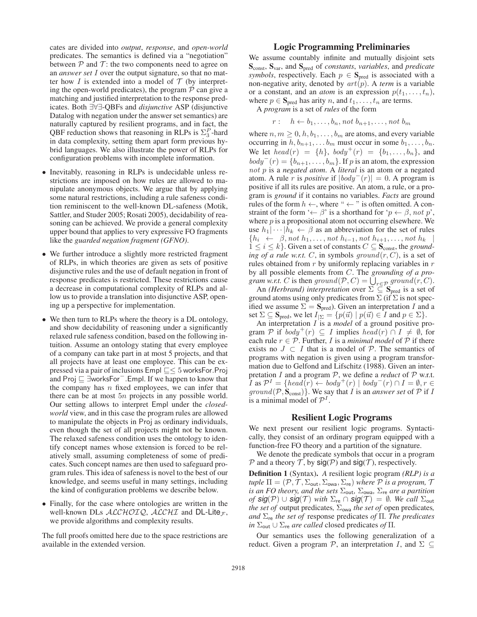cates are divided into *output*, *response*, and *open-world* predicates. The semantics is defined via a "negotiation" between  $P$  and  $T$ : the two components need to agree on an *answer set* I over the output signature, so that no matter how I is extended into a model of  $T$  (by interpreting the open-world predicates), the program  $P$  can give a matching and justified interpretation to the response predicates. Both ∃∀∃-QBFs and *disjunctive* ASP (disjunctive Datalog with negation under the answer set semantics) are naturally captured by resilient programs, and in fact, the QBF reduction shows that reasoning in RLPs is  $\Sigma_3^P$ -hard in data complexity, setting them apart form previous hybrid languages. We also illustrate the power of RLPs for configuration problems with incomplete information.

- Inevitably, reasoning in RLPs is undecidable unless restrictions are imposed on how rules are allowed to manipulate anonymous objects. We argue that by applying some natural restrictions, including a rule safeness condition reminiscent to the well-known DL-safeness (Motik, Sattler, and Studer 2005; Rosati 2005), decidability of reasoning can be achieved. We provide a general complexity upper bound that applies to very expressive FO fragments like the *guarded negation fragment (GFNO)*.
- We further introduce a slightly more restricted fragment of RLPs, in which theories are given as sets of positive disjunctive rules and the use of default negation in front of response predicates is restricted. These restrictions cause a decrease in computational complexity of RLPs and allow us to provide a translation into disjunctive ASP, opening up a perspective for implementation.
- We then turn to RLPs where the theory is a DL ontology, and show decidability of reasoning under a significantly relaxed rule safeness condition, based on the following intuition. Assume an ontology stating that every employee of a company can take part in at most 5 projects, and that all projects have at least one employee. This can be expressed via a pair of inclusions  $\text{Empl} \sqsubseteq \leq 5$  worksFor. Proj and Proj ∃worksFor<sup>−</sup>.Empl. If we happen to know that the company has  $n$  fixed employees, we can infer that there can be at most 5n projects in any possible world. Our setting allows to interpret Empl under the *closedworld* view, and in this case the program rules are allowed to manipulate the objects in Proj as ordinary individuals, even though the set of all projects might not be known. The relaxed safeness condition uses the ontology to identify concept names whose extension is forced to be relatively small, assuming completeness of some of predicates. Such concept names are then used to safeguard program rules. This idea of safeness is novel to the best of our knowledge, and seems useful in many settings, including the kind of configuration problems we describe below.
- Finally, for the case where ontologies are written in the well-known DLs  $ALCHOTQ$ ,  $ALCHI$  and DL-Lite<sub>F</sub>, we provide algorithms and complexity results.

The full proofs omitted here due to the space restrictions are available in the extended version.

## Logic Programming Preliminaries

We assume countably infinite and mutually disjoint sets Sconst, Svar, and Spred of *constants*, *variables*, and *predicate symbols*, respectively. Each  $p \in S_{pred}$  is associated with a non-negative arity, denoted by *art*(p). A *term* is a variable or a constant, and an *atom* is an expression  $p(t_1,...,t_n)$ , where  $p \in \mathbf{S}_{\text{pred}}$  has arity n, and  $t_1, \ldots, t_n$  are terms.

A *program* is a set of *rules* of the form

$$
r: \quad h \leftarrow b_1, \dots, b_n, \text{ not } b_{n+1}, \dots, \text{ not } b_m
$$

where  $n, m \geq 0, h, b_1, \ldots, b_m$  are atoms, and every variable occurring in  $h, b_{n+1}, \ldots, b_m$  must occur in some  $b_1, \ldots, b_n$ . We let  $head(r) = \{h\}$ ,  $body^+(r) = \{b_1, \ldots, b_n\}$ , and  $body^-(r) = \{b_{n+1}, \ldots, b_m\}$ . If p is an atom, the expression *not* p is a *negated atom*. A *literal* is an atom or a negated atom. A rule r is *positive* if  $|body^-(r)| = 0$ . A program is positive if all its rules are positive. An atom, a rule, or a program is *ground* if it contains no variables. *Facts* are ground rules of the form  $h \leftarrow$ , where "  $\leftarrow$  " is often omitted. A constraint of the form ' $\leftarrow \beta$ ' is a shorthand for ' $p \leftarrow \beta$ , not p', where  $p$  is a propositional atom not occurring elsewhere. We use  $h_1|\cdots|h_k \leftarrow \beta$  as an abbreviation for the set of rules  ${h_i \leftarrow \beta, not \ h_1, \ldots, not \ h_{i-1}, not \ h_{i+1}, \ldots, not \ h_k}$  $1 \leq i \leq k$ . Given a set of constants  $C \subseteq S_{\text{const}}$ , the *grounding of a rule w.r.t.* C, in symbols  $ground(r, C)$ , is a set of rules obtained from  $r$  by uniformly replacing variables in  $r$ by all possible elements from C. The *grounding of a program w.r.t.* C is then  $ground(P, C) = \bigcup_{r \in P} ground(r, C)$ .

An *(Herbrand)* interpretation over  $\Sigma \subseteq \mathbf{S}_{pred}$  is a set of ground atoms using only predicates from  $\Sigma$  (if  $\Sigma$  is not specified we assume  $\Sigma = \mathbf{S}_{pred}$ ). Given an interpretation I and a set  $\Sigma \subseteq \mathbf{S}_{\text{pred}}$ , we let  $I_{\Sigma} = \{p(\vec{u}) \mid p(\vec{u}) \in I \text{ and } p \in \Sigma\}.$ 

An interpretation I is a *model* of a ground positive program P if  $body^+(r) \subseteq I$  implies  $head(r) \cap I \neq \emptyset$ , for each rule  $r \in \mathcal{P}$ . Further, *I* is a *minimal model* of  $\mathcal{P}$  if there exists no  $J \subset I$  that is a model of  $\mathcal{P}$ . The semantics of programs with negation is given using a program transformation due to Gelfond and Lifschitz (1988). Given an interpretation  $I$  and a program  $P$ , we define a *reduct* of  $P$  w.r.t. *I* as  $\mathcal{P}^I$  = {*head*(*r*) ← *body*<sup>+</sup>(*r*) | *body*<sup>−</sup>(*r*) ∩ *I* =  $\emptyset$ , *r* ∈ *ground*( $P$ ,  $S_{const}$ )}. We say that *I* is an *answer set* of  $P$  if *I* is a minimal model of  $\mathcal{P}^1$ .

# Resilient Logic Programs

We next present our resilient logic programs. Syntactically, they consist of an ordinary program equipped with a function-free FO theory and a partition of the signature.

We denote the predicate symbols that occur in a program  $P$  and a theory  $T$ , by  $sig(P)$  and  $sig(T)$ , respectively.

Definition 1 (Syntax). *A* resilient logic program *(RLP) is a tuple*  $\Pi = (\mathcal{P}, \mathcal{T}, \Sigma_{\text{out}}, \Sigma_{\text{ova}}, \Sigma_{\text{re}})$  *where*  $\mathcal P$  *is a program,*  $\mathcal T$ *is an FO theory, and the sets* Σout*,* Σowa*,* Σre *are a partition of*  $sig(P) \cup sig(T)$  *with*  $\Sigma_{re} \cap sig(T) = \emptyset$ *. We call*  $\Sigma_{out}$ *the set of* output predicates,  $\Sigma_{\text{owa}}$  *the set of* open predicates, *and* Σre *the set of* response predicates *of* Π*. The predicates*  $in \Sigma_{\text{out}} \cup \Sigma_{\text{re}}$  *are called* closed predicates *of*  $\Pi$ *.* 

Our semantics uses the following generalization of a reduct. Given a program  $P$ , an interpretation I, and  $\Sigma \subseteq$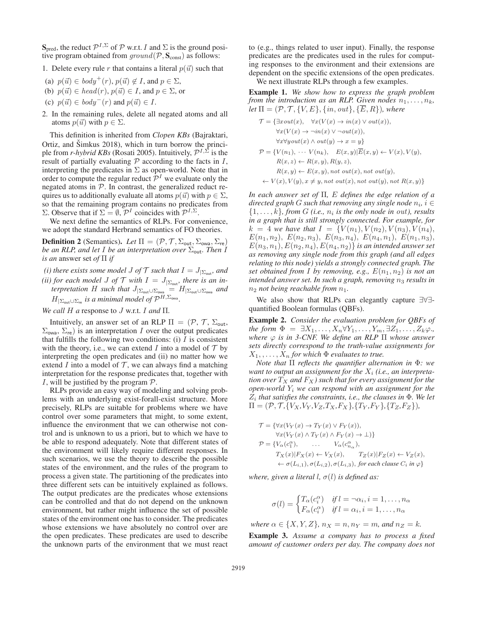$\mathbf{S}_{\text{pred}}$ , the reduct  $\mathcal{P}^{I,\Sigma}$  of  $\mathcal P$  w.r.t. I and  $\Sigma$  is the ground positive program obtained from  $ground(\mathcal{P}, \mathbf{S}_{const})$  as follows:

1. Delete every rule r that contains a literal  $p(\vec{u})$  such that

- (a)  $p(\vec{u}) \in body^+(r)$ ,  $p(\vec{u}) \notin I$ , and  $p \in \Sigma$ ,
- (b)  $p(\vec{u}) \in head(r), p(\vec{u}) \in I$ , and  $p \in \Sigma$ , or
- (c)  $p(\vec{u}) \in body^{-}(r)$  and  $p(\vec{u}) \in I$ .
- 2. In the remaining rules, delete all negated atoms and all atoms  $p(\vec{u})$  with  $p \in \Sigma$ .

This definition is inherited from *Clopen KBs* (Bajraktari, Ortiz, and  $\check{S}$ imkus 2018), which in turn borrow the principle from *r-hybrid KBs* (Rosati 2005). Intuitively,  $\mathcal{P}^{I,\Sigma}$  is the result of partially evaluating  $P$  according to the facts in  $I$ , interpreting the predicates in  $\Sigma$  as open-world. Note that in order to compute the regular reduct  $\mathcal{P}^I$  we evaluate only the negated atoms in  $P$ . In contrast, the generalized reduct requires us to additionally evaluate all atoms  $p(\vec{u})$  with  $p \in \Sigma$ , so that the remaining program contains no predicates from Σ. Observe that if  $\Sigma = \emptyset$ ,  $\mathcal{P}^I$  coincides with  $\mathcal{P}^{I,\Sigma}$ .

We next define the semantics of RLPs. For convenience, we adopt the standard Herbrand semantics of FO theories.

**Definition 2** (Semantics). *Let*  $\Pi = (\mathcal{P}, \mathcal{T}, \Sigma_{\text{out}}, \Sigma_{\text{ova}}, \Sigma_{\text{re}})$ *be an RLP, and let* I *be an interpretation over*  $\Sigma_{\text{out}}$ *. Then* I *is an* answer set *of* Π *if*

*(i) there exists some model J of*  $\mathcal{T}$  *such that*  $I = J_{\{\sum_{i=1}^n}$  *and (ii) for each model J of*  $\mathcal{T}$  *with*  $I = J_{\vert \Sigma_{\text{out}}}$ *, there is an interpretation* H *such that*  $J_{\vert \Sigma_{\text{out}} \cup \Sigma_{\text{out}}} = H_{\vert \Sigma_{\text{out}} \cup \Sigma_{\text{out}}}$  and  $H_{|\Sigma_{\text{out}} \cup \Sigma_{\text{re}}}$  *is a minimal model of*  $\mathcal{P}^{H,\Sigma_{\text{owa}}}.$ 

*We call* H *a* response to J w.r.t. I *and* Π*.*

Intuitively, an answer set of an RLP  $\Pi = (P, \mathcal{T}, \Sigma_{\text{out}},$  $\Sigma_{\text{owa}}$ ,  $\Sigma_{\text{re}}$ ) is an interpretation I over the output predicates that fulfills the following two conditions: (i)  $I$  is consistent with the theory, i.e., we can extend I into a model of  $T$  by interpreting the open predicates and (ii) no matter how we extend  $I$  into a model of  $\mathcal T$ , we can always find a matching interpretation for the response predicates that, together with I, will be justified by the program  $P$ .

RLPs provide an easy way of modeling and solving problems with an underlying exist-forall-exist structure. More precisely, RLPs are suitable for problems where we have control over some parameters that might, to some extent, influence the environment that we can otherwise not control and is unknown to us a priori, but to which we have to be able to respond adequately. Note that different states of the environment will likely require different responses. In such scenarios, we use the theory to describe the possible states of the environment, and the rules of the program to process a given state. The partitioning of the predicates into three different sets can be intuitively explained as follows. The output predicates are the predicates whose extensions can be controlled and that do not depend on the unknown environment, but rather might influence the set of possible states of the environment one has to consider. The predicates whose extensions we have absolutely no control over are the open predicates. These predicates are used to describe the unknown parts of the environment that we must react

to (e.g., things related to user input). Finally, the response predicates are the predicates used in the rules for computing responses to the environment and their extensions are dependent on the specific extensions of the open predicates.

We next illustrate RLPs through a few examples.

Example 1. *We show how to express the graph problem from the introduction as an RLP. Given nodes*  $n_1, \ldots, n_k$ , *let*  $\Pi = (\mathcal{P}, \mathcal{T}, \{V, E\}, \{in, out\}, \{\overline{E}, R\})$ *, where* 

$$
\mathcal{T} = \{\exists x \, out(x), \quad \forall x (V(x) \to in(x) \lor out(x)),
$$
  

$$
\forall x (V(x) \to \neg in(x) \lor \neg out(x)),
$$
  

$$
\forall x \forall y \, out(x) \land out(y) \to x = y \}
$$
  

$$
\mathcal{P} = \{V(n_1), \cdots V(n_k), E(x, y)|\overline{E}(x, y) \leftarrow V(x), V(y),
$$
  

$$
R(x, z) \leftarrow R(x, y), R(y, z),
$$
  

$$
R(x, y) \leftarrow E(x, y), not out(x), not out(y),
$$
  

$$
\leftarrow V(x), V(y), x \neq y, not out(x), not out(y), not R(x, y) \}
$$

*In each answer set of* Π*,* E *defines the edge relation of a directed graph* G such that removing any single node  $n_i$ ,  $i \in$  $\{1,\ldots,k\}$ , from G (*i.e.*,  $n_i$  *is the only node in out*), results *in a graph that is still strongly connected. For example, for*  $k = 4$  *we have that*  $I = \{V(n_1), V(n_2), V(n_3), V(n_4),$  $E(n_1, n_2)$ ,  $E(n_2, n_3)$ ,  $E(n_3, n_4)$ ,  $E(n_4, n_1)$ ,  $E(n_1, n_3)$ ,  $E(n_3, n_1), E(n_2, n_4), E(n_4, n_2)$  *is an intended answer set as removing any single node from this graph (and all edges relating to this node) yields a strongly connected graph. The set obtained from I by removing, e.g.,*  $E(n_1, n_2)$  *is not an intended answer set. In such a graph, removing*  $n_3$  *results in*  $n_2$  *not being reachable from*  $n_1$ .

We also show that RLPs can elegantly capture ∃∀∃ quantified Boolean formulas (QBFs).

Example 2. *Consider the evaluation problem for QBFs of the form*  $\Phi = \exists X_1, \ldots, X_n \forall Y_1, \ldots, Y_m, \exists Z_1, \ldots, Z_k \varphi$ . *where* ϕ *is in 3-CNF. We define an RLP* Π *whose answer sets directly correspond to the truth-value assignments for*  $X_1, \ldots, X_n$  *for which*  $\Phi$  *evaluates to true.* 

*Note that* Π *reflects the quantifier alternation in* Φ*: we* want to output an assignment for the  $X_i$  (i.e., an interpreta*tion over*  $T_X$  *and*  $F_X$ *) such that for every assignment for the open-world* Y<sup>i</sup> *we can respond with an assignment for the*  $\overline{Z}_i$  *that satisfies the constraints, i.e., the clauses in*  $\Phi$ *. We let*  $\Pi = (\mathcal{P}, \mathcal{T}, \{V_X, V_Y, V_Z, T_X, F_X\}, \{T_Y, F_Y\}, \{T_Z, F_Z\}),$ 

$$
\mathcal{T} = \{ \forall x (V_Y(x) \to T_Y(x) \lor F_Y(x)),
$$
  
\n
$$
\forall x (V_Y(x) \land T_Y(x) \land F_Y(x) \to \bot) \}
$$
  
\n
$$
\mathcal{P} = \{ V_\alpha(c_1^\alpha), \quad \dots \quad V_\alpha(c_{n_\alpha}^\alpha),
$$
  
\n
$$
T_X(x) | F_X(x) \leftarrow V_X(x), \quad T_Z(x) | F_Z(x) \leftarrow V_Z(x),
$$
  
\n
$$
\leftarrow \sigma(L_{i,1}), \sigma(L_{i,2}), \sigma(L_{i,3}), \text{ for each clause } C_i \text{ in } \varphi \}
$$

*where, given a literal l,*  $\sigma(l)$  *is defined as:* 

$$
\sigma(l) = \begin{cases} T_{\alpha}(c_i^{\alpha}) & \text{if } l = \neg \alpha_i, i = 1, \dots, n_{\alpha} \\ F_{\alpha}(c_i^{\alpha}) & \text{if } l = \alpha_i, i = 1, \dots, n_{\alpha} \end{cases}
$$

*where*  $\alpha \in \{X, Y, Z\}$ *,*  $n_X = n$ *,*  $n_Y = m$ *, and*  $n_Z = k$ *.* 

Example 3. *Assume a company has to process a fixed amount of customer orders per day. The company does not*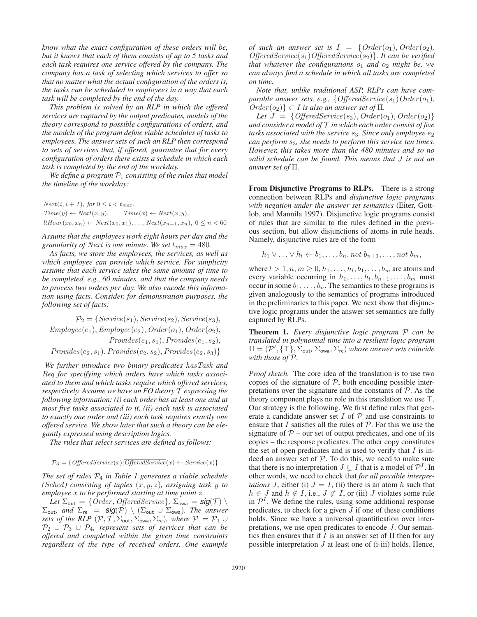*know what the exact configuration of these orders will be, but it knows that each of them consists of up to 5 tasks and each task requires one service offered by the company. The company has a task of selecting which services to offer so that no matter what the actual configuration of the orders is, the tasks can be scheduled to employees in a way that each task will be completed by the end of the day.*

*This problem is solved by an RLP in which the offered services are captured by the output predicates, models of the theory correspond to possible configurations of orders, and the models of the program define viable schedules of tasks to employees. The answer sets of such an RLP then correspond to sets of services that, if offered, guarantee that for every configuration of orders there exists a schedule in which each task is completed by the end of the workday.*

We define a program  $P_1$  consisting of the rules that model *the timeline of the workday:*

 $Next(i, i + 1), for 0 \leq i < t_{max},$ <br>  $Time(y) \leftarrow Next(x, y),$  Tim  $Time(x) \leftarrow Next(x, y),$ ltHour(x<sub>0</sub>, x<sub>n</sub>) ← Next(x<sub>0</sub>, x<sub>1</sub>),..., Next(x<sub>n-1</sub>, x<sub>n</sub>),  $0 \le n < 60$ 

*Assume that the employees work eight hours per day and the granularity of Next is one minute. We set*  $t_{max} = 480$ .

*As facts, we store the employees, the services, as well as which employee can provide which service. For simplicity assume that each service takes the same amount of time to be completed, e.g., 60 minutes, and that the company needs to process two orders per day. We also encode this information using facts. Consider, for demonstration purposes, the following set of facts:*

 $\mathcal{P}_2 = \{Service(s_1), Service(s_2), Service(s_3),\}$  $Empolve(e_1), Empolve(e_2), Order(o_1), Order(o_2),$  $Provides(e_1, s_1), Provides(e_1, s_2),$  $Provides(e_2, s_1), Provides(e_2, s_2), Provides(e_2, s_3)\}$ 

*We further introduce two binary predicates hasTask and Req for specifying which orders have which tasks associated to them and which tasks require which offered services, respectively. Assume we have an FO theory* T *expressing the following information: (i) each order has at least one and at most five tasks associated to it, (ii) each task is associated to exactly one order and (iii) each task requires exactly one offered service. We show later that such a theory can be elegantly expressed using description logics.*

*The rules that select services are defined as follows:*

$$
\mathcal{P}_3 = \{ \text{^\} \text{1}(\text{^\}) \mid \text{^\} \text{1}(\text{^\}) \mid \text{^\} \text{1}(\text{^\}) \leftarrow \text{^\} \text{1}(\text{^\}) \}
$$

*The set of rules* P<sup>4</sup> *in Table 1 generates a viable schedule (Sched)* consisting of tuples  $(x, y, z)$ , assigning task y to *employee* x *to be performed starting at time point* z*.*

*Let*  $\Sigma_{\text{out}} = \{Order, OfficeService\}, \Sigma_{\text{ova}} = \text{sig}(\mathcal{T}) \setminus \text{and } \Sigma_{\text{res}} = \text{sig}(\mathcal{P}) \setminus (\Sigma_{\text{out}} \cup \Sigma_{\text{new}})$  The answer  $\Sigma_{\text{out}}$ , and  $\Sigma_{\text{re}} = \mathsf{sig}(\mathcal{P}) \setminus (\Sigma_{\text{out}} \cup \Sigma_{\text{owa}})$ . The answer *sets of the RLP*  $(\mathcal{P}, \mathcal{T}, \Sigma_{\text{out}}, \Sigma_{\text{ova}}, \Sigma_{\text{re}})$ *, where*  $\mathcal{P} = \mathcal{P}_1 \cup$  $\mathcal{P}_2 \cup \mathcal{P}_3 \cup \mathcal{P}_4$ , represent sets of services that can be *offered and completed within the given time constraints regardless of the type of received orders. One example* *of such an answer set is*  $I = \{Order(o_1), Order(o_2),$ *OfferedService*(s1)*OfferedService*(s2)}*. It can be verified that whatever the configurations*  $o_1$  *and*  $o_2$  *might be, we can always find a schedule in which all tasks are completed on time.*

*Note that, unlike traditional ASP, RLPs can have comparable answer sets, e.g.,*  ${OfficeedService(s_1)Order(o_1)}$ ,  $Order(o_2)$ } ⊂ *I is also an answer set of*  $\Pi$ *.* 

*Let*  $J = \{OfficeSearchService(s_3), Order(o_1), Order(o_2)\}$ *and consider a model of* T *in which each order consist of five tasks associated with the service*  $s_3$ *. Since only employee*  $e_2$ *can perform* s3*, she needs to perform this service ten times. However, this takes more than the 480 minutes and so no valid schedule can be found. This means that* J *is not an answer set of* Π*.*

From Disjunctive Programs to RLPs. There is a strong connection between RLPs and *disjunctive logic programs with negation under the answer set semantics* (Eiter, Gottlob, and Mannila 1997). Disjunctive logic programs consist of rules that are similar to the rules defined in the previous section, but allow disjunctions of atoms in rule heads. Namely, disjunctive rules are of the form

$$
h_1 \vee \ldots \vee h_l \leftarrow b_1, \ldots, b_n, \text{not } b_{n+1}, \ldots, \text{not } b_m,
$$

where  $l > 1, n, m \geq 0, h_1, \ldots, h_l, b_1, \ldots, b_m$  are atoms and every variable occurring in  $h_1, \ldots, h_l, b_{n+1}, \ldots, b_m$  must occur in some  $b_1, \ldots, b_n$ . The semantics to these programs is given analogously to the semantics of programs introduced in the preliminaries to this paper. We next show that disjunctive logic programs under the answer set semantics are fully captured by RLPs.

Theorem 1. *Every disjunctive logic program* P *can be translated in polynomial time into a resilient logic program*  $\Pi = (\mathcal{P}', {\{\top}\}, \Sigma_{\text{out}}, \Sigma_{\text{ova}}, \Sigma_{\text{re}})$  *whose answer sets coincide with those of* P*.*

*Proof sketch.* The core idea of the translation is to use two copies of the signature of  $P$ , both encoding possible interpretations over the signature and the constants of  $P$ . As the theory component plays no role in this translation we use  $\top$ . Our strategy is the following. We first define rules that generate a candidate answer set  $I$  of  $P$  and use constraints to ensure that  $I$  satisfies all the rules of  $P$ . For this we use the signature of  $P$  – our set of output predicates, and one of its copies – the response predicates. The other copy constitutes the set of open predicates and is used to verify that  $I$  is indeed an answer set of  $P$ . To do this, we need to make sure that there is no interpretation  $J \subsetneq I$  that is a model of  $\mathcal{P}^I$ . In other words, we need to check that *for all possible interpretations* J, either (i)  $J = I$ , (ii) there is an atom h such that  $h \in J$  and  $h \notin I$ , i.e.,  $J \not\subset I$ , or (iii) J violates some rule in  $\mathcal{P}^{I}$ . We define the rules, using some additional response predicates, to check for a given  $J$  if one of these conditions holds. Since we have a universal quantification over interpretations, we use open predicates to encode J. Our semantics then ensures that if I is an answer set of  $\Pi$  then for any possible interpretation  $J$  at least one of (i-iii) holds. Hence,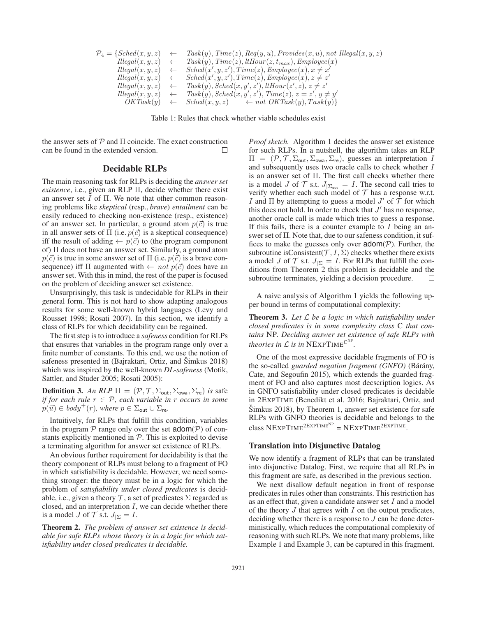$$
\mathcal{P}_4 = \{Sched(x, y, z) \leftarrow \text{Task}(y), \text{Time}(z), \text{Reg}(y, u), \text{Provides}(x, u), \text{not Hlegal}(x, y, z) \newline \text{Hlegal}(x, y, z) \leftarrow \text{Task}(y), \text{Time}(z), \text{tHour}(z, t_{max}), \text{Employee}(x) \newline \text{Hlegal}(x, y, z) \leftarrow \text{Sched}(x', y, z'), \text{Time}(z), \text{Employee}(x), x \neq x' \newline \text{Hlegal}(x, y, z) \leftarrow \text{Sched}(x', y, z'), \text{Time}(z), \text{Employee}(x), z \neq z' \newline \text{Hlegal}(x, y, z) \leftarrow \text{Task}(y), \text{Sched}(x, y', z'), \text{HHour}(z', z), z \neq z' \newline \text{Hlegal}(x, y, z) \leftarrow \text{Task}(y), \text{Sched}(x, y', z'), \text{Time}(z), z = z', y \neq y' \newline \text{OKTask}(y) \leftarrow \text{Sched}(x, y, z) \leftarrow \text{not OKTask}(y), \text{Task}(y) \right\}
$$

Table 1: Rules that check whether viable schedules exist

the answer sets of  $P$  and  $\Pi$  coincide. The exact construction can be found in the extended version.  $\Box$ 

## Decidable RLPs

The main reasoning task for RLPs is deciding the *answer set existence*, i.e., given an RLP Π, decide whether there exist an answer set I of Π. We note that other common reasoning problems like *skeptical* (resp., *brave*) *entailment* can be easily reduced to checking non-existence (resp., existence) of an answer set. In particular, a ground atom  $p(\vec{c})$  is true in all answer sets of  $\Pi$  (i.e.  $p(\vec{c})$  is a skeptical consequence) iff the result of adding  $\leftarrow p(\vec{c})$  to (the program component of) Π does not have an answer set. Similarly, a ground atom  $p(\vec{c})$  is true in some answer set of  $\Pi$  (i.e.  $p(\vec{c})$  is a brave consequence) iff  $\Pi$  augmented with  $\leftarrow$  *not*  $p(\vec{c})$  does have an answer set. With this in mind, the rest of the paper is focused on the problem of deciding answer set existence.

Unsurprisingly, this task is undecidable for RLPs in their general form. This is not hard to show adapting analogous results for some well-known hybrid languages (Levy and Rousset 1998; Rosati 2007). In this section, we identify a class of RLPs for which decidability can be regained.

The first step is to introduce a *safeness* condition for RLPs that ensures that variables in the program range only over a finite number of constants. To this end, we use the notion of safeness presented in (Bajraktari, Ortiz, and Simkus 2018) which was inspired by the well-known *DL-safeness* (Motik, Sattler, and Studer 2005; Rosati 2005):

**Definition 3.** An RLP  $\Pi = (\mathcal{P}, \mathcal{T}, \Sigma_{\text{out}}, \Sigma_{\text{ova}}, \Sigma_{\text{re}})$  *is* safe *if for each rule* r ∈ P*, each variable in* r *occurs in some*  $p(\vec{u}) \in body^+(r)$ , where  $p \in \Sigma_{\text{out}} \cup \Sigma_{\text{re}}$ .

Intuitively, for RLPs that fulfill this condition, variables in the program  $P$  range only over the set  $\text{adom}(P)$  of constants explicitly mentioned in  $P$ . This is exploited to devise a terminating algorithm for answer set existence of RLPs.

An obvious further requirement for decidability is that the theory component of RLPs must belong to a fragment of FO in which satisfiability is decidable. However, we need something stronger: the theory must be in a logic for which the problem of *satisfiability under closed predicates* is decidable, i.e., given a theory  $\mathcal T$ , a set of predicates  $\Sigma$  regarded as closed, and an interpretation  $I$ , we can decide whether there is a model *J* of  $\mathcal T$  s.t.  $J_{|\Sigma} = I$ .

Theorem 2. *The problem of answer set existence is decidable for safe RLPs whose theory is in a logic for which satisfiability under closed predicates is decidable.*

*Proof sketch.* Algorithm 1 decides the answer set existence for such RLPs. In a nutshell, the algorithm takes an RLP  $\Pi = (\mathcal{P}, \mathcal{T}, \Sigma_{\text{out}}, \Sigma_{\text{ova}}, \Sigma_{\text{re}})$ , guesses an interpretation I and subsequently uses two oracle calls to check whether I is an answer set of Π. The first call checks whether there is a model J of T s.t.  $J_{\Sigma_{\text{out}}} = I$ . The second call tries to verify whether each such model of  $T$  has a response w.r.t. I and  $\Pi$  by attempting to guess a model  $J'$  of  $\mathcal T$  for which this does not hold. In order to check that  $J'$  has no response, another oracle call is made which tries to guess a response. If this fails, there is a counter example to  $I$  being an answer set of Π. Note that, due to our safeness condition, it suffices to make the guesses only over  $\text{adom}(\mathcal{P})$ . Further, the subroutine isConsistent( $\mathcal{T}, I, \Sigma$ ) checks whether there exists a model *J* of  $\mathcal T$  s.t.  $J_{\Sigma} = I$ . For RLPs that fulfill the conditions from Theorem 2 this problem is decidable and the subroutine terminates, yielding a decision procedure.  $\Box$ 

A naive analysis of Algorithm 1 yields the following upper bound in terms of computational complexity:

Theorem 3. *Let* L *be a logic in which satisfiability under closed predicates is in some complexity class* C *that contains* NP*. Deciding answer set existence of safe RLPs with theories in*  $\mathcal L$  *is in*  $NEXPTIME^{C^{NP}}$ *.* 

One of the most expressive decidable fragments of FO is the so-called *guarded negation fragment (GNFO)* (Bárány, Cate, and Segoufin 2015), which extends the guarded fragment of FO and also captures most decscription logics. As in GNFO satisfiability under closed predicates is decidable in 2EXPTIME (Benedikt et al. 2016; Bajraktari, Ortiz, and  $\text{Simkus } 2018$ , by Theorem 1, answer set existence for safe RLPs with GNFO theories is decidable and belongs to the class  $NEXPTIME^{2EXPTIME} = NEXPTIME^{2EXPTIME}$ .

#### Translation into Disjunctive Datalog

We now identify a fragment of RLPs that can be translated into disjunctive Datalog. First, we require that all RLPs in this fragment are safe, as described in the previous section.

We next disallow default negation in front of response predicates in rules other than constraints. This restriction has as an effect that, given a candidate answer set  $I$  and a model of the theory  $J$  that agrees with  $I$  on the output predicates, deciding whether there is a response to J can be done deterministically, which reduces the computational complexity of reasoning with such RLPs. We note that many problems, like Example 1 and Example 3, can be captured in this fragment.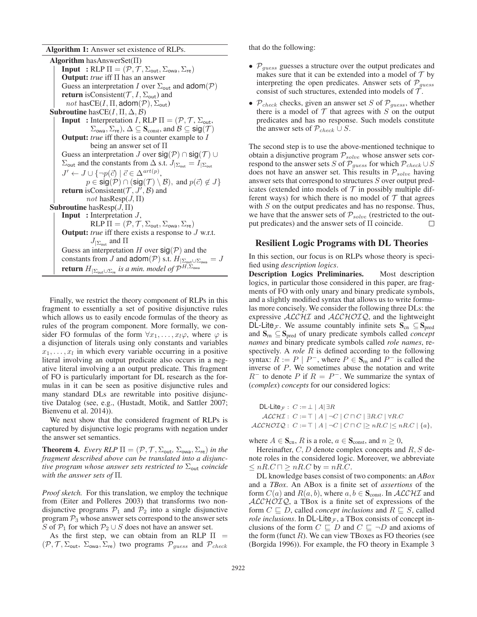Algorithm 1: Answer set existence of RLPs.

| <b>Algorithm</b> has Answer Set( $\Pi$ )                                                                                                        |
|-------------------------------------------------------------------------------------------------------------------------------------------------|
| <b>Input</b> : RLP $\Pi = (\mathcal{P}, \mathcal{T}, \Sigma_{\text{out}}, \Sigma_{\text{owa}}, \Sigma_{\text{re}})$                             |
| <b>Output:</b> true iff $\Pi$ has an answer                                                                                                     |
| Guess an interpretation I over $\Sigma_{\text{out}}$ and $\text{adom}(\mathcal{P})$                                                             |
| <b>return</b> is Consistent( $\mathcal{T}, I, \Sigma_{\text{out}}$ ) and                                                                        |
| not has CE $(I, \Pi, \text{adom}(\mathcal{P}), \Sigma_{\text{out}})$                                                                            |
| <b>Subroutine</b> has $CE(I, \Pi, \Delta, \mathcal{B})$                                                                                         |
| <b>Input</b> : Interpretation I, RLP $\Pi = (\mathcal{P}, \mathcal{T}, \Sigma_{\text{out}},$                                                    |
| $\Sigma_{\text{owa}}, \Sigma_{\text{re}}$ ), $\Delta \subseteq \mathbf{S}_{\text{const}}$ , and $\mathcal{B} \subseteq \text{sig}(\mathcal{T})$ |
| <b>Output:</b> true iff there is a counter example to $I$                                                                                       |
| being an answer set of $\Pi$                                                                                                                    |
| Guess an interpretation J over $sig(\mathcal{P}) \cap sig(\mathcal{T}) \cup$                                                                    |
| $\Sigma_{\text{out}}$ and the constants from $\Delta$ s.t. $J_{\vert \Sigma_{\text{out}}} = I_{\vert \Sigma_{\text{out}}}$                      |
| $J' \leftarrow J \cup {\lbrace \neg p(\vec{c}) \mid \vec{c} \in \Delta^{\text{art}(p)},\}$                                                      |
| $p \in \text{sig}(\mathcal{P}) \cap (\text{sig}(\mathcal{T}) \setminus \mathcal{B})$ , and $p(\vec{c}) \notin J$                                |
| <b>return</b> is Consistent( $\mathcal{T}, J', \mathcal{B}$ ) and                                                                               |
| <i>not</i> has $\text{Resp}(J,\Pi)$                                                                                                             |
| <b>Subroutine</b> has $\text{Resp}(J,\Pi)$                                                                                                      |
| <b>Input</b> : Interpretation $J$ ,                                                                                                             |
| RLP $\Pi = (\mathcal{P}, \mathcal{T}, \Sigma_{\text{out}}, \Sigma_{\text{owa}}, \Sigma_{\text{re}})$                                            |
| <b>Output:</b> true iff there exists a response to $J$ w.r.t.                                                                                   |
| $J_{\Sigma_{\text{out}}}$ and $\Pi$                                                                                                             |
| Guess an interpretation H over $sig(\mathcal{P})$ and the                                                                                       |
| constants from J and $\text{adom}(\mathcal{P})$ s.t. $H_{\vert \Sigma_{\text{out}} \cup \Sigma_{\text{ova}}} = J$                               |
| <b>return</b> $H_{ \Sigma_{\text{out}} \cup \Sigma_{\text{re}}}$ is a min. model of $\mathcal{P}^{H,\Sigma_{\text{owa}}}$                       |

Finally, we restrict the theory component of RLPs in this fragment to essentially a set of positive disjunctive rules which allows us to easily encode formulas of the theory as rules of the program component. More formally, we consider FO formulas of the form  $\forall x_1, \ldots, x_l\varphi$ , where  $\varphi$  is a disjunction of literals using only constants and variables  $x_1, \ldots, x_l$  in which every variable occurring in a positive literal involving an output predicate also occurs in a negative literal involving a an output predicate. This fragment of FO is particularly important for DL research as the formulas in it can be seen as positive disjunctive rules and many standard DLs are rewritable into positive disjunctive Datalog (see, e.g., (Hustadt, Motik, and Sattler 2007; Bienvenu et al. 2014)).

We next show that the considered fragment of RLPs is captured by disjunctive logic programs with negation under the answer set semantics.

**Theorem 4.** *Every RLP*  $\Pi = (\mathcal{P}, \mathcal{T}, \Sigma_{\text{out}}, \Sigma_{\text{ova}}, \Sigma_{\text{re}})$  *in the fragment described above can be translated into a disjunctive program whose answer sets restricted to*  $\Sigma_{\text{out}}$  *coincide with the answer sets of* Π*.*

*Proof sketch.* For this translation, we employ the technique from (Eiter and Polleres 2003) that transforms two nondisjunctive programs  $P_1$  and  $P_2$  into a single disjunctive program  $P_3$  whose answer sets correspond to the answer sets S of  $P_1$  for which  $P_2 \cup S$  does not have an answer set.

As the first step, we can obtain from an RLP  $\Pi$  =  $(\mathcal{P}, \mathcal{T}, \Sigma_{\text{out}}, \Sigma_{\text{ova}}, \Sigma_{\text{re}})$  two programs  $\mathcal{P}_{guess}$  and  $\mathcal{P}_{check}$ 

that do the following:

- $P_{guess}$  guesses a structure over the output predicates and makes sure that it can be extended into a model of  $T$  by interpreting the open predicates. Answer sets of  $P_{guess}$ consist of such structures, extended into models of  $\mathcal T$ .
- $P_{check}$  checks, given an answer set S of  $P_{guess}$ , whether there is a model of  $T$  that agrees with  $S$  on the output predicates and has no response. Such models constitute the answer sets of  $\mathcal{P}_{check} \cup S$ .

The second step is to use the above-mentioned technique to obtain a disjunctive program  $\mathcal{P}_{solve}$  whose answer sets cor-<br>respond to the answer sets  $S$  of  $\mathcal{P}_{cycle}$  for which  $\mathcal{P}_{set}$   $\rightarrow$   $\rightarrow$   $\rightarrow$ respond to the answer sets S of  $\mathcal{P}_{guess}$  for which  $\mathcal{P}_{check} \cup S$ does not have an answer set. This results in  $\mathcal{P}_{solve}$  having answer sets that correspond to structures S over output predicates (extended into models of  $\mathcal T$  in possibly multiple different ways) for which there is no model of  $T$  that agrees with  $S$  on the output predicates and has no response. Thus, we have that the answer sets of  $\mathcal{P}_{solve}$  (restricted to the out-<br>put predicates) and the answer sets of  $\Pi$  coincide. put predicates) and the answer sets of Π coincide.

#### Resilient Logic Programs with DL Theories

In this section, our focus is on RLPs whose theory is specified using *description logics*.

Description Logics Preliminaries. Most description logics, in particular those considered in this paper, are fragments of FO with only unary and binary predicate symbols, and a slightly modified syntax that allows us to write formulas more concisely. We consider the following three DLs: the expressive  $\text{ALCHI}$  and  $\text{ALCHOLQ}$ , and the lightweight DL-Lite<sub> $\mathcal{F}$ </sub>. We assume countably infinite sets  $\mathbf{S}_{cn} \subseteq \mathbf{S}_{pred}$ and Srn ⊆ Spred of unary predicate symbols called *concept names* and binary predicate symbols called *role names*, respectively. A *role* R is defined according to the following syntax:  $R := P | P^-$ , where  $P \in S_{rn}$  and  $P^-$  is called the inverse of P. We sometimes abuse the notation and write  $R^-$  to denote P if  $R = P^-$ . We summarize the syntax of (*complex*) *concepts* for our considered logics:

DL-Lite<sub> $F$ </sub> :  $C := \perp |A| \exists R$  $\mathcal{ALCHI}: C := \top |A| \neg C |C \sqcap C | \exists R.C | \forall R.C$  $ALCHOTQ$ :  $C := \top |A| \neg C |C \sqcap C| > nR.C | \{a\},\$ 

where  $A \in \mathbf{S}_{cn}$ , R is a role,  $a \in \mathbf{S}_{const}$ , and  $n \geq 0$ ,

Hereinafter,  $C, D$  denote complex concepts and  $R, S$  denote roles in the considered logic. Moreover, we abbreviate  $\leq nR.C \sqcap \geq nR.C$  by  $= nR.C$ .

DL knowledge bases consist of two components: an *ABox* and a *TBox*. An ABox is a finite set of *assertions* of the form  $C(a)$  and  $R(a, b)$ , where  $a, b \in \mathbf{S}_{const}$ . In  $\mathcal{ALCHI}$  and  $ALCHOTQ$ , a TBox is a finite set of expressions of the form  $C \subseteq D$ , called *concept inclusions* and  $R \subseteq S$ , called *role inclusions*. In  $DL\text{-}Life_{\mathcal{F}}$ , a TBox consists of concept inclusions of the form  $C \sqsubseteq D$  and  $C \sqsubseteq \neg D$  and axioms of the form (funct  $R$ ). We can view TBoxes as FO theories (see (Borgida 1996)). For example, the FO theory in Example 3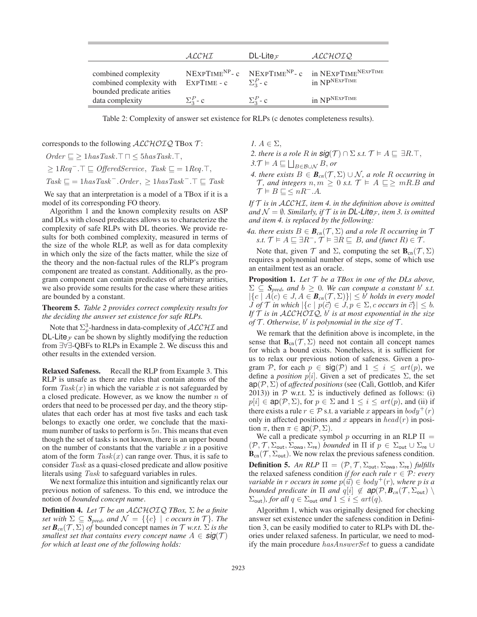|                                                                              | ALCHI            | DL-Lite $\tau$   | ALCHOIQ                                                                                                |
|------------------------------------------------------------------------------|------------------|------------------|--------------------------------------------------------------------------------------------------------|
| combined complexity<br>combined complexity with<br>bounded predicate arities | EXPTIME - c      | $\Sigma^P_3$ - c | NEXPTIME <sup>NP</sup> - c NEXPTIME <sup>NP</sup> - c in NEXPTIME <sup>NEXPTIME</sup><br>in NPNEXPTIME |
| data complexity                                                              | $\Sigma_2^P$ - c | $\Sigma^P_3$ - c | in NPNEXPTIME                                                                                          |

Table 2: Complexity of answer set existence for RLPs (c denotes completeness results).

corresponds to the following  $ALCHOTQ$  TBox  $T$ :

 $Order \nightharpoonup$   $\geq$  1 $hasTask$ .  $\top \cap$  <  $5hasTask$ .  $\top$ ,  $> 1$ *Req*<sup>−</sup>.  $\top \sqsubset$  *OfferedService*, *Task*  $\sqsubset$  = 1*Req*.  $\top$ ,  $Task \sqsubseteq = 1 hasTask - Order, \geq 1 hasTask - . \top \sqsubseteq Task$ 

We say that an interpretation is a model of a TBox if it is a model of its corresponding FO theory.

Algorithm 1 and the known complexity results on ASP and DLs with closed predicates allows us to characterize the complexity of safe RLPs with DL theories. We provide results for both combined complexity, measured in terms of the size of the whole RLP, as well as for data complexity in which only the size of the facts matter, while the size of the theory and the non-factual rules of the RLP's program component are treated as constant. Additionally, as the program component can contain predicates of arbitrary arities, we also provide some results for the case where these arities are bounded by a constant.

Theorem 5. *Table 2 provides correct complexity results for the deciding the answer set existence for safe RLPs.*

Note that  $\Sigma_p^3$ -hardness in data-complexity of  $\mathcal{ALCHI}$  and DL-Lite<sub> $\mathcal F$ </sub> can be shown by slightly modifying the reduction from ∃∀∃-QBFs to RLPs in Example 2. We discuss this and other results in the extended version.

Relaxed Safeness. Recall the RLP from Example 3. This RLP is unsafe as there are rules that contain atoms of the form  $Task(x)$  in which the variable x is not safeguarded by a closed predicate. However, as we know the number  $n$  of orders that need to be processed per day, and the theory stipulates that each order has at most five tasks and each task belongs to exactly one order, we conclude that the maximum number of tasks to perform is  $5n$ . This means that even though the set of tasks is not known, there is an upper bound on the number of constants that the variable  $x$  in a positive atom of the form  $Task(x)$  can range over. Thus, it is safe to consider *Task* as a quasi-closed predicate and allow positive literals using *Task* to safeguard variables in rules.

We next formalize this intuition and significantly relax our previous notion of safeness. To this end, we introduce the notion of *bounded concept name*.

Definition 4. *Let* T *be an* ALCHOIQ *TBox,* Σ *be a finite set with*  $\Sigma \subseteq S_{pred}$ *, and*  $\mathcal{N} = \{\{c\} \mid c \text{ occurs in } \mathcal{T}\}\$ *. The set*  $\mathbf{B}_{cn}(\mathcal{T}, \Sigma)$  *of* bounded concept names *in*  $\mathcal{T}$  *w.r.t.*  $\Sigma$  *is the smallest set that contains every concept name*  $A \in \text{sig}(\mathcal{T})$ *for which at least one of the following holds:*

*1.*  $A \in \Sigma$ .

- 2. there is a role R in  $\mathbf{sig}(\mathcal{T}) \cap \Sigma$  *s.t.*  $\mathcal{T} \models A \sqsubseteq \exists R.\top$ ,<br>3  $\mathcal{T} \vdash A \sqsubset \Box$
- $3.\mathcal{T} \models A \sqsubseteq \bigsqcup_{B \in \mathcal{B} \cup \mathcal{N}} B$ , or
- *4. there exists*  $B \in \mathbf{B}_{cn}(\mathcal{T}, \Sigma) \cup \mathcal{N}$ *, a role R occurring in*  $\mathcal{T}$ , and integers  $n, m \geq 0$  s.t.  $\mathcal{T} \models A \sqsubseteq \geq mR.B$  and  $\mathcal{T} \models B \sqsubseteq \leq nR^-}.A.$

*If* T *is in* ALCHI*, item 4. in the definition above is omitted and*  $\mathcal{N} = \emptyset$ *. Similarly, if*  $\mathcal{T}$  *is in DL-Lite<sub>* $\mathcal{T}$ *</sub>, item 3. is omitted and item 4. is replaced by the following:*

*4a. there exists*  $B \in \mathbf{B}_{cn}(\mathcal{T}, \Sigma)$  *and a role R occurring in*  $\mathcal{T}$  $s.t.$   $\mathcal{T} \models A \sqsubseteq \exists R^{-}, \mathcal{T} \models \exists R \sqsubseteq B$ *, and (funct*  $R$ *)*  $\in \mathcal{T}$ *.* 

Note that, given  $\mathcal T$  and  $\Sigma$ , computing the set  $\mathbf{B}_{cn}(\mathcal T, \Sigma)$ requires a polynomial number of steps, some of which use an entailment test as an oracle.

Proposition 1. *Let* T *be a TBox in one of the DLs above,*  $\Sigma \subseteq S_{pred}$ , and  $b \geq 0$ . We can compute a constant b' s.t.  $|\{c \mid A(c) \in J, A \in \mathcal{B}_{cn}(\mathcal{T}, \Sigma)\}| \leq b'$  holds in every model *J of*  $\mathcal{T}$  *in which*  $|\{c \mid p(\vec{c}) \in J, p \in \Sigma, c \text{ occurs in } \vec{c}\}| \leq b$ . If T is in ALCHOIQ, b' is at most exponential in the size *of*  $T$ *. Otherwise, b' is polynomial in the size of*  $T$ *.* 

We remark that the definition above is incomplete, in the sense that  $\mathbf{B}_{cn}(\mathcal{T}, \Sigma)$  need not contain all concept names for which a bound exists. Nonetheless, it is sufficient for us to relax our previous notion of safeness. Given a program P, for each  $p \in \text{sig}(\mathcal{P})$  and  $1 \leq i \leq art(p)$ , we define a *position*  $p[i]$ . Given a set of predicates  $\Sigma$ , the set  $ap(\mathcal{P}, \Sigma)$  of *affected positions* (see (Calì, Gottlob, and Kifer 2013)) in  $P$  w.r.t.  $\Sigma$  is inductively defined as follows: (i)  $p[i] \in \text{ap}(\mathcal{P}, \Sigma)$ , for  $p \in \Sigma$  and  $1 \leq i \leq \text{art}(p)$ , and (ii) if there exists a rule  $r \in \mathcal{P}$  s.t. a variable x appears in  $body^+(r)$ only in affected positions and x appears in  $head(r)$  in position  $\pi$ , then  $\pi \in \text{ap}(\mathcal{P}, \Sigma)$ .

We call a predicate symbol p occurring in an RLP  $\Pi$  =  $(\mathcal{P}, \mathcal{T}, \Sigma_{\text{out}}, \Sigma_{\text{ova}}, \Sigma_{\text{re}})$  *bounded* in  $\Pi$  if  $p \in \Sigma_{\text{out}} \cup \Sigma_{\text{re}} \cup$  $\mathbf{B}_{cn}(\mathcal{T}, \Sigma_{out})$ . We now relax the previous safeness condition. **Definition 5.** An RLP  $\Pi = (\mathcal{P}, \mathcal{T}, \Sigma_{\text{out}}, \Sigma_{\text{ova}}, \Sigma_{\text{re}})$  *fulfills* the relaxed safeness condition *if for each rule*  $r \in \mathcal{P}$ *: every variable in r occurs in some*  $p(\vec{u}) \in body^+(r)$ *, where p is a bounded predicate in*  $\Pi$  *and*  $q[i] \notin \textbf{ap}(\mathcal{P}, \textbf{B}_{cn}(\mathcal{T}, \Sigma_{\text{out}}))$  $\Sigma_{\text{out}}$ *), for all*  $q \in \Sigma_{\text{out}}$  *and*  $1 \leq i \leq art(q)$ *.* 

Algorithm 1, which was originally designed for checking answer set existence under the safeness condition in Definition 3, can be easily modified to cater to RLPs with DL theories under relaxed safeness. In particular, we need to modify the main procedure *hasAnswerSet* to guess a candidate